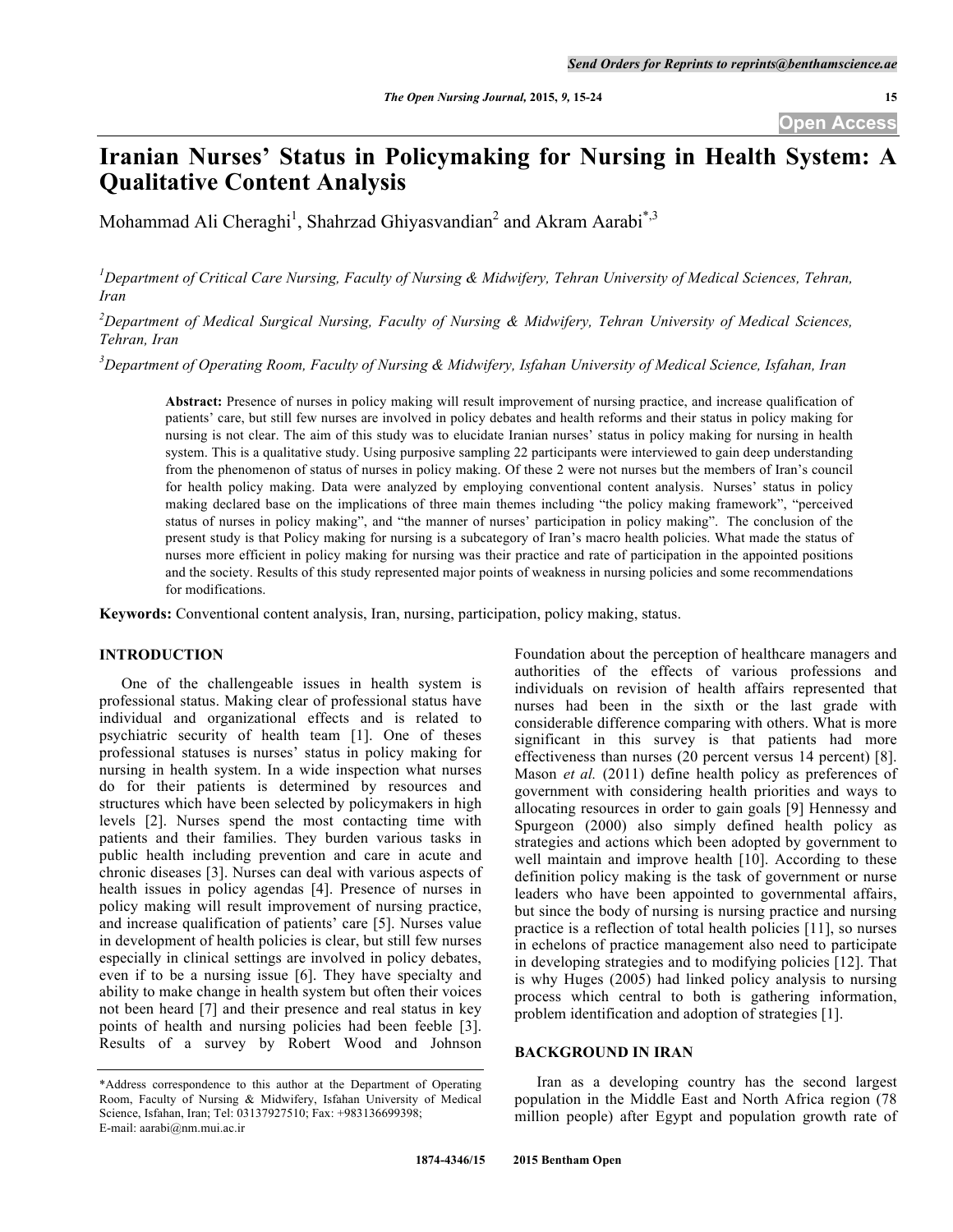# **Iranian Nurses' Status in Policymaking for Nursing in Health System: A Qualitative Content Analysis**

Mohammad Ali Cheraghi<sup>1</sup>, Shahrzad Ghiyasvandian<sup>2</sup> and Akram Aarabi<sup>\*,3</sup>

<sup>1</sup>Department of Critical Care Nursing, Faculty of Nursing & Midwifery, Tehran University of Medical Sciences, Tehran, *Iran*

*2 Department of Medical Surgical Nursing, Faculty of Nursing & Midwifery, Tehran University of Medical Sciences, Tehran, Iran*

*3 Department of Operating Room, Faculty of Nursing & Midwifery, Isfahan University of Medical Science, Isfahan, Iran*

**Abstract:** Presence of nurses in policy making will result improvement of nursing practice, and increase qualification of patients' care, but still few nurses are involved in policy debates and health reforms and their status in policy making for nursing is not clear. The aim of this study was to elucidate Iranian nurses' status in policy making for nursing in health system. This is a qualitative study. Using purposive sampling 22 participants were interviewed to gain deep understanding from the phenomenon of status of nurses in policy making. Of these 2 were not nurses but the members of Iran's council for health policy making. Data were analyzed by employing conventional content analysis. Nurses' status in policy making declared base on the implications of three main themes including "the policy making framework", "perceived status of nurses in policy making", and "the manner of nurses' participation in policy making". The conclusion of the present study is that Policy making for nursing is a subcategory of Iran's macro health policies. What made the status of nurses more efficient in policy making for nursing was their practice and rate of participation in the appointed positions and the society. Results of this study represented major points of weakness in nursing policies and some recommendations for modifications.

**Keywords:** Conventional content analysis, Iran, nursing, participation, policy making, status.

# **INTRODUCTION**

One of the challengeable issues in health system is professional status. Making clear of professional status have individual and organizational effects and is related to psychiatric security of health team [1]. One of theses professional statuses is nurses' status in policy making for nursing in health system. In a wide inspection what nurses do for their patients is determined by resources and structures which have been selected by policymakers in high levels [2]. Nurses spend the most contacting time with patients and their families. They burden various tasks in public health including prevention and care in acute and chronic diseases [3]. Nurses can deal with various aspects of health issues in policy agendas [4]. Presence of nurses in policy making will result improvement of nursing practice, and increase qualification of patients' care [5]. Nurses value in development of health policies is clear, but still few nurses especially in clinical settings are involved in policy debates, even if to be a nursing issue [6]. They have specialty and ability to make change in health system but often their voices not been heard [7] and their presence and real status in key points of health and nursing policies had been feeble [3]. Results of a survey by Robert Wood and Johnson

Foundation about the perception of healthcare managers and authorities of the effects of various professions and individuals on revision of health affairs represented that nurses had been in the sixth or the last grade with considerable difference comparing with others. What is more significant in this survey is that patients had more effectiveness than nurses (20 percent versus 14 percent) [8]. Mason *et al.* (2011) define health policy as preferences of government with considering health priorities and ways to allocating resources in order to gain goals [9] Hennessy and Spurgeon (2000) also simply defined health policy as strategies and actions which been adopted by government to well maintain and improve health [10]. According to these definition policy making is the task of government or nurse leaders who have been appointed to governmental affairs, but since the body of nursing is nursing practice and nursing practice is a reflection of total health policies [11], so nurses in echelons of practice management also need to participate in developing strategies and to modifying policies [12]. That is why Huges (2005) had linked policy analysis to nursing process which central to both is gathering information, problem identification and adoption of strategies [1].

# **BACKGROUND IN IRAN**

Iran as a developing country has the second largest population in the Middle East and North Africa region (78 million people) after Egypt and population growth rate of

<sup>\*</sup>Address correspondence to this author at the Department of Operating Room, Faculty of Nursing & Midwifery, Isfahan University of Medical Science, Isfahan, Iran; Tel: 03137927510; Fax: +983136699398; E-mail: aarabi@nm.mui.ac.ir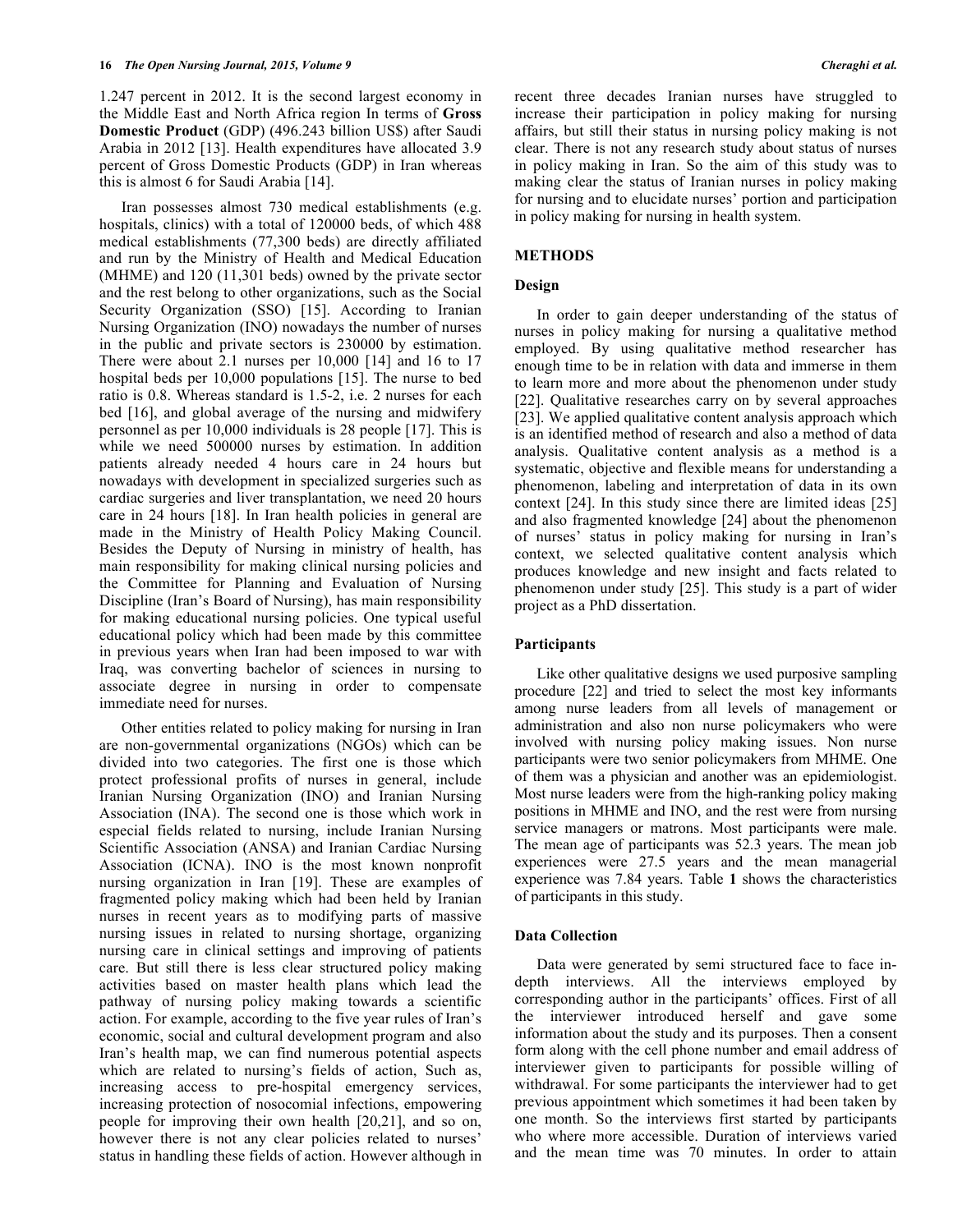1.247 percent in 2012. It is the second largest economy in the Middle East and North Africa region In terms of **Gross Domestic Product** (GDP) (496.243 billion US\$) after Saudi Arabia in 2012 [13]. Health expenditures have allocated 3.9 percent of Gross Domestic Products (GDP) in Iran whereas this is almost 6 for Saudi Arabia [14].

Iran possesses almost 730 medical establishments (e.g. hospitals, clinics) with a total of 120000 beds, of which 488 medical establishments (77,300 beds) are directly affiliated and run by the Ministry of Health and Medical Education (MHME) and 120 (11,301 beds) owned by the private sector and the rest belong to other organizations, such as the Social Security Organization (SSO) [15]. According to Iranian Nursing Organization (INO) nowadays the number of nurses in the public and private sectors is 230000 by estimation. There were about 2.1 nurses per 10,000 [14] and 16 to 17 hospital beds per 10,000 populations [15]. The nurse to bed ratio is 0.8. Whereas standard is 1.5-2, i.e. 2 nurses for each bed [16], and global average of the nursing and midwifery personnel as per 10,000 individuals is 28 people [17]. This is while we need 500000 nurses by estimation. In addition patients already needed 4 hours care in 24 hours but nowadays with development in specialized surgeries such as cardiac surgeries and liver transplantation, we need 20 hours care in 24 hours [18]. In Iran health policies in general are made in the Ministry of Health Policy Making Council. Besides the Deputy of Nursing in ministry of health, has main responsibility for making clinical nursing policies and the Committee for Planning and Evaluation of Nursing Discipline (Iran's Board of Nursing), has main responsibility for making educational nursing policies. One typical useful educational policy which had been made by this committee in previous years when Iran had been imposed to war with Iraq, was converting bachelor of sciences in nursing to associate degree in nursing in order to compensate immediate need for nurses.

Other entities related to policy making for nursing in Iran are non-governmental organizations (NGOs) which can be divided into two categories. The first one is those which protect professional profits of nurses in general, include Iranian Nursing Organization (INO) and Iranian Nursing Association (INA). The second one is those which work in especial fields related to nursing, include Iranian Nursing Scientific Association (ANSA) and Iranian Cardiac Nursing Association (ICNA). INO is the most known nonprofit nursing organization in Iran [19]. These are examples of fragmented policy making which had been held by Iranian nurses in recent years as to modifying parts of massive nursing issues in related to nursing shortage, organizing nursing care in clinical settings and improving of patients care. But still there is less clear structured policy making activities based on master health plans which lead the pathway of nursing policy making towards a scientific action. For example, according to the five year rules of Iran's economic, social and cultural development program and also Iran's health map, we can find numerous potential aspects which are related to nursing's fields of action, Such as, increasing access to pre-hospital emergency services, increasing protection of nosocomial infections, empowering people for improving their own health [20,21], and so on, however there is not any clear policies related to nurses' status in handling these fields of action. However although in

recent three decades Iranian nurses have struggled to increase their participation in policy making for nursing affairs, but still their status in nursing policy making is not clear. There is not any research study about status of nurses in policy making in Iran. So the aim of this study was to making clear the status of Iranian nurses in policy making for nursing and to elucidate nurses' portion and participation in policy making for nursing in health system.

# **METHODS**

#### **Design**

In order to gain deeper understanding of the status of nurses in policy making for nursing a qualitative method employed. By using qualitative method researcher has enough time to be in relation with data and immerse in them to learn more and more about the phenomenon under study [22]. Qualitative researches carry on by several approaches [23]. We applied qualitative content analysis approach which is an identified method of research and also a method of data analysis. Qualitative content analysis as a method is a systematic, objective and flexible means for understanding a phenomenon, labeling and interpretation of data in its own context [24]. In this study since there are limited ideas [25] and also fragmented knowledge [24] about the phenomenon of nurses' status in policy making for nursing in Iran's context, we selected qualitative content analysis which produces knowledge and new insight and facts related to phenomenon under study [25]. This study is a part of wider project as a PhD dissertation.

### **Participants**

Like other qualitative designs we used purposive sampling procedure [22] and tried to select the most key informants among nurse leaders from all levels of management or administration and also non nurse policymakers who were involved with nursing policy making issues. Non nurse participants were two senior policymakers from MHME. One of them was a physician and another was an epidemiologist. Most nurse leaders were from the high-ranking policy making positions in MHME and INO, and the rest were from nursing service managers or matrons. Most participants were male. The mean age of participants was 52.3 years. The mean job experiences were 27.5 years and the mean managerial experience was 7.84 years. Table **1** shows the characteristics of participants in this study.

#### **Data Collection**

Data were generated by semi structured face to face indepth interviews. All the interviews employed by corresponding author in the participants' offices. First of all the interviewer introduced herself and gave some information about the study and its purposes. Then a consent form along with the cell phone number and email address of interviewer given to participants for possible willing of withdrawal. For some participants the interviewer had to get previous appointment which sometimes it had been taken by one month. So the interviews first started by participants who where more accessible. Duration of interviews varied and the mean time was 70 minutes. In order to attain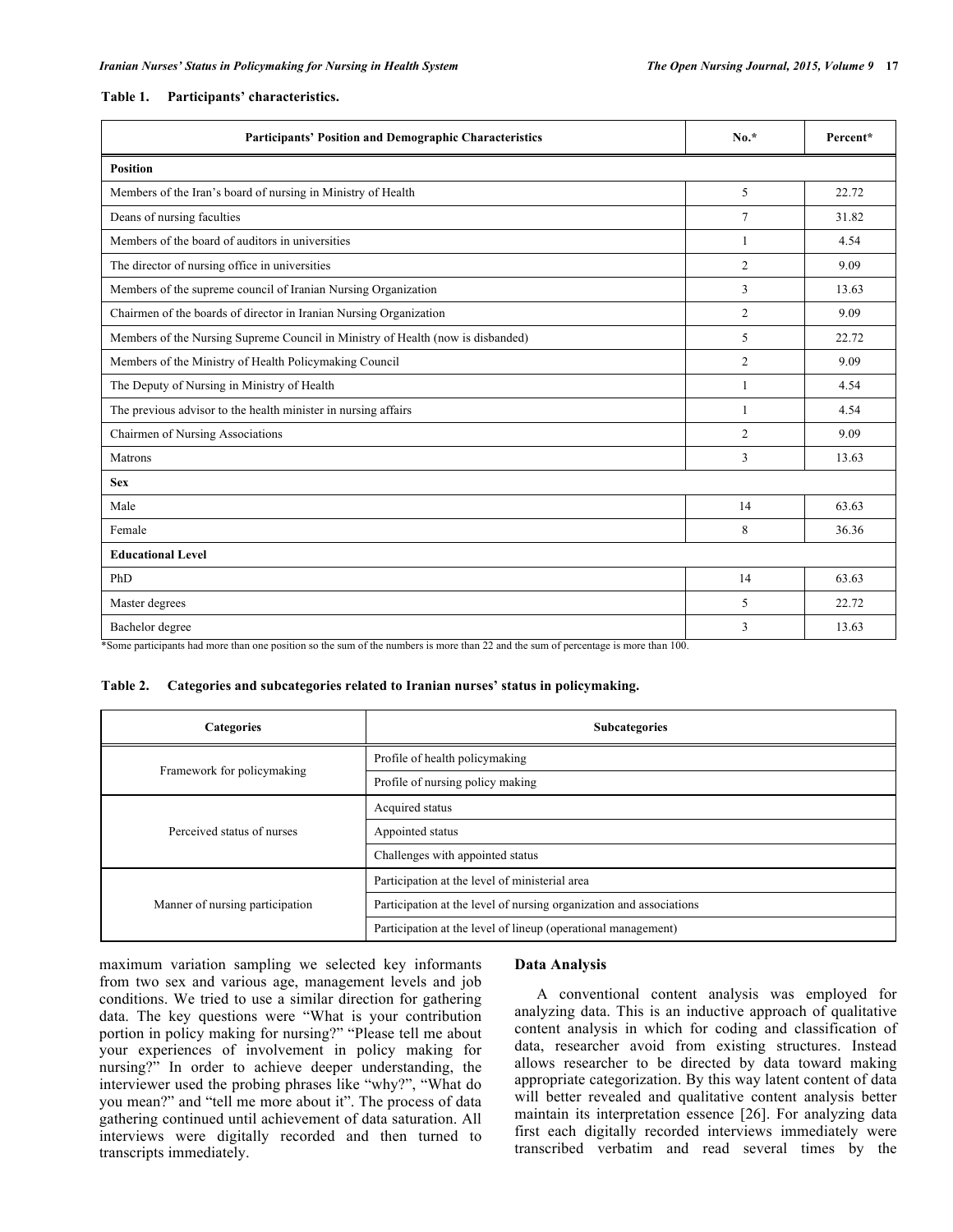#### **Table 1. Participants' characteristics.**

| <b>Participants' Position and Demographic Characteristics</b>                   | $No.*$         | Percent* |
|---------------------------------------------------------------------------------|----------------|----------|
| <b>Position</b>                                                                 |                |          |
| Members of the Iran's board of nursing in Ministry of Health                    | 5              | 22.72    |
| Deans of nursing faculties                                                      | 7              | 31.82    |
| Members of the board of auditors in universities                                | 1              | 4.54     |
| The director of nursing office in universities                                  | $\overline{2}$ | 9.09     |
| Members of the supreme council of Iranian Nursing Organization                  | 3              | 13.63    |
| Chairmen of the boards of director in Iranian Nursing Organization              | $\overline{2}$ | 9.09     |
| Members of the Nursing Supreme Council in Ministry of Health (now is disbanded) | 5              | 22.72    |
| Members of the Ministry of Health Policymaking Council                          | 2              | 9.09     |
| The Deputy of Nursing in Ministry of Health                                     | 1              | 4.54     |
| The previous advisor to the health minister in nursing affairs                  | 1              | 4.54     |
| Chairmen of Nursing Associations                                                | $\overline{2}$ | 9.09     |
| Matrons                                                                         | 3              | 13.63    |
| <b>Sex</b>                                                                      |                |          |
| Male                                                                            | 14             | 63.63    |
| Female                                                                          | 8              | 36.36    |
| <b>Educational Level</b>                                                        |                |          |
| PhD                                                                             | 14             | 63.63    |
| Master degrees                                                                  | 5              | 22.72    |
| Bachelor degree                                                                 | 3              | 13.63    |

\*Some participants had more than one position so the sum of the numbers is more than 22 and the sum of percentage is more than 100.

#### **Table 2. Categories and subcategories related to Iranian nurses' status in policymaking.**

| <b>Categories</b>               | <b>Subcategories</b>                                                |
|---------------------------------|---------------------------------------------------------------------|
| Framework for policymaking      | Profile of health policymaking                                      |
|                                 | Profile of nursing policy making                                    |
| Perceived status of nurses      | Acquired status                                                     |
|                                 | Appointed status                                                    |
|                                 | Challenges with appointed status                                    |
| Manner of nursing participation | Participation at the level of ministerial area                      |
|                                 | Participation at the level of nursing organization and associations |
|                                 | Participation at the level of lineup (operational management)       |

maximum variation sampling we selected key informants from two sex and various age, management levels and job conditions. We tried to use a similar direction for gathering data. The key questions were "What is your contribution portion in policy making for nursing?" "Please tell me about your experiences of involvement in policy making for nursing?" In order to achieve deeper understanding, the interviewer used the probing phrases like "why?", "What do you mean?" and "tell me more about it". The process of data gathering continued until achievement of data saturation. All interviews were digitally recorded and then turned to transcripts immediately.

## **Data Analysis**

A conventional content analysis was employed for analyzing data. This is an inductive approach of qualitative content analysis in which for coding and classification of data, researcher avoid from existing structures. Instead allows researcher to be directed by data toward making appropriate categorization. By this way latent content of data will better revealed and qualitative content analysis better maintain its interpretation essence [26]. For analyzing data first each digitally recorded interviews immediately were transcribed verbatim and read several times by the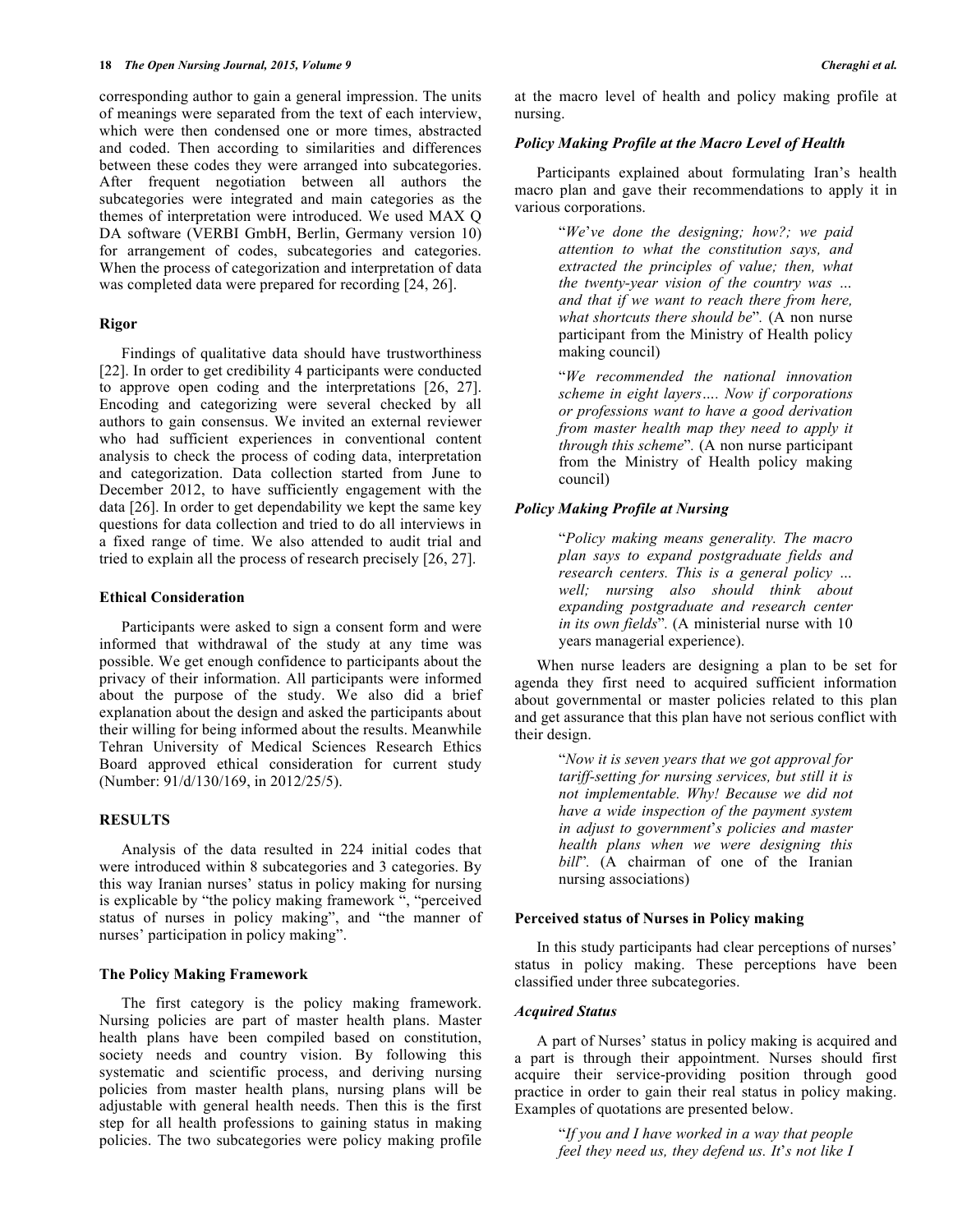corresponding author to gain a general impression. The units of meanings were separated from the text of each interview, which were then condensed one or more times, abstracted and coded. Then according to similarities and differences between these codes they were arranged into subcategories. After frequent negotiation between all authors the subcategories were integrated and main categories as the themes of interpretation were introduced. We used MAX Q DA software (VERBI GmbH, Berlin, Germany version 10) for arrangement of codes, subcategories and categories. When the process of categorization and interpretation of data was completed data were prepared for recording [24, 26].

#### **Rigor**

Findings of qualitative data should have trustworthiness [22]. In order to get credibility 4 participants were conducted to approve open coding and the interpretations [26, 27]. Encoding and categorizing were several checked by all authors to gain consensus. We invited an external reviewer who had sufficient experiences in conventional content analysis to check the process of coding data, interpretation and categorization. Data collection started from June to December 2012, to have sufficiently engagement with the data [26]. In order to get dependability we kept the same key questions for data collection and tried to do all interviews in a fixed range of time. We also attended to audit trial and tried to explain all the process of research precisely [26, 27].

#### **Ethical Consideration**

Participants were asked to sign a consent form and were informed that withdrawal of the study at any time was possible. We get enough confidence to participants about the privacy of their information. All participants were informed about the purpose of the study. We also did a brief explanation about the design and asked the participants about their willing for being informed about the results. Meanwhile Tehran University of Medical Sciences Research Ethics Board approved ethical consideration for current study (Number: 91/d/130/169, in 2012/25/5).

# **RESULTS**

Analysis of the data resulted in 224 initial codes that were introduced within 8 subcategories and 3 categories. By this way Iranian nurses' status in policy making for nursing is explicable by "the policy making framework ", "perceived status of nurses in policy making", and "the manner of nurses' participation in policy making".

## **The Policy Making Framework**

The first category is the policy making framework. Nursing policies are part of master health plans. Master health plans have been compiled based on constitution, society needs and country vision. By following this systematic and scientific process, and deriving nursing policies from master health plans, nursing plans will be adjustable with general health needs. Then this is the first step for all health professions to gaining status in making policies. The two subcategories were policy making profile at the macro level of health and policy making profile at nursing.

## *Policy Making Profile at the Macro Level of Health*

Participants explained about formulating Iran's health macro plan and gave their recommendations to apply it in various corporations.

> "*We*'*ve done the designing; how?; we paid attention to what the constitution says, and extracted the principles of value; then, what the twenty-year vision of the country was … and that if we want to reach there from here, what shortcuts there should be*"*.* (A non nurse participant from the Ministry of Health policy making council)

> "*We recommended the national innovation scheme in eight layers…. Now if corporations or professions want to have a good derivation from master health map they need to apply it through this scheme*"*.* (A non nurse participant from the Ministry of Health policy making council)

### *Policy Making Profile at Nursing*

"*Policy making means generality. The macro plan says to expand postgraduate fields and research centers. This is a general policy … well; nursing also should think about expanding postgraduate and research center in its own fields*"*.* (A ministerial nurse with 10 years managerial experience).

When nurse leaders are designing a plan to be set for agenda they first need to acquired sufficient information about governmental or master policies related to this plan and get assurance that this plan have not serious conflict with their design.

> "*Now it is seven years that we got approval for tariff-setting for nursing services, but still it is not implementable. Why! Because we did not have a wide inspection of the payment system in adjust to government*'*s policies and master health plans when we were designing this bill*"*.* (A chairman of one of the Iranian nursing associations)

#### **Perceived status of Nurses in Policy making**

In this study participants had clear perceptions of nurses' status in policy making. These perceptions have been classified under three subcategories.

## *Acquired Status*

A part of Nurses' status in policy making is acquired and a part is through their appointment. Nurses should first acquire their service-providing position through good practice in order to gain their real status in policy making. Examples of quotations are presented below.

> "*If you and I have worked in a way that people feel they need us, they defend us. It*'*s not like I*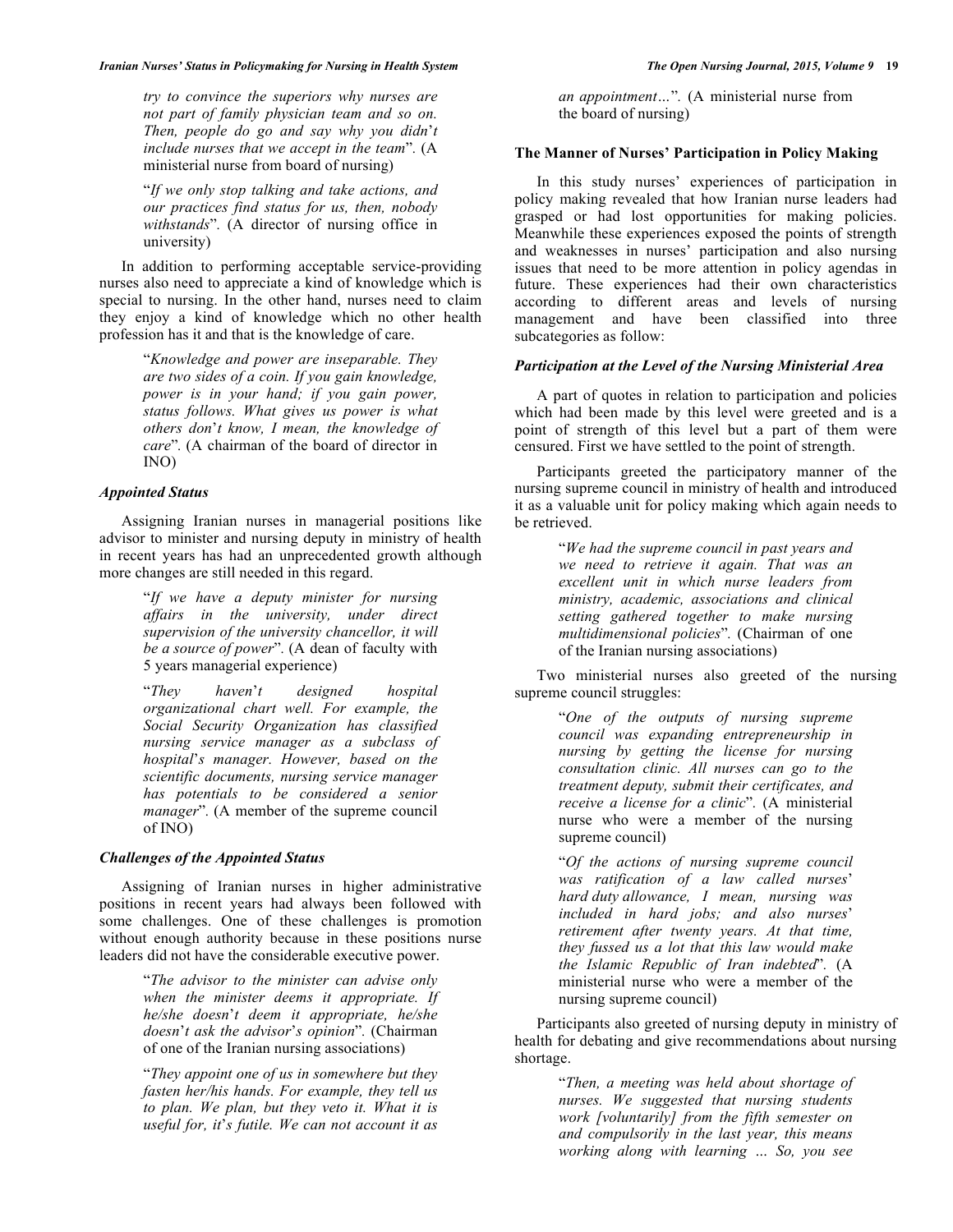#### *Iranian Nurses' Status in Policymaking for Nursing in Health System The Open Nursing Journal, 2015, Volume 9* **19**

*try to convince the superiors why nurses are not part of family physician team and so on. Then, people do go and say why you didn*'*t include nurses that we accept in the team*"*.* (A ministerial nurse from board of nursing)

"*If we only stop talking and take actions, and our practices find status for us, then, nobody withstands*"*.* (A director of nursing office in university)

In addition to performing acceptable service-providing nurses also need to appreciate a kind of knowledge which is special to nursing. In the other hand, nurses need to claim they enjoy a kind of knowledge which no other health profession has it and that is the knowledge of care.

> "*Knowledge and power are inseparable. They are two sides of a coin. If you gain knowledge, power is in your hand; if you gain power, status follows. What gives us power is what others don*'*t know, I mean, the knowledge of care*"*.* (A chairman of the board of director in INO)

### *Appointed Status*

Assigning Iranian nurses in managerial positions like advisor to minister and nursing deputy in ministry of health in recent years has had an unprecedented growth although more changes are still needed in this regard.

> "*If we have a deputy minister for nursing affairs in the university, under direct supervision of the university chancellor, it will be a source of power*"*.* (A dean of faculty with 5 years managerial experience)

> "*They haven*'*t designed hospital organizational chart well. For example, the Social Security Organization has classified nursing service manager as a subclass of hospital*'*s manager. However, based on the scientific documents, nursing service manager has potentials to be considered a senior manager*"*.* (A member of the supreme council of INO)

## *Challenges of the Appointed Status*

Assigning of Iranian nurses in higher administrative positions in recent years had always been followed with some challenges. One of these challenges is promotion without enough authority because in these positions nurse leaders did not have the considerable executive power.

> "*The advisor to the minister can advise only when the minister deems it appropriate. If he/she doesn*'*t deem it appropriate, he/she doesn*'*t ask the advisor*'*s opinion*"*.* (Chairman of one of the Iranian nursing associations)

> "*They appoint one of us in somewhere but they fasten her/his hands. For example, they tell us to plan. We plan, but they veto it. What it is useful for, it*'*s futile. We can not account it as*

*an appointment…*"*.* (A ministerial nurse from the board of nursing)

## **The Manner of Nurses' Participation in Policy Making**

In this study nurses' experiences of participation in policy making revealed that how Iranian nurse leaders had grasped or had lost opportunities for making policies. Meanwhile these experiences exposed the points of strength and weaknesses in nurses' participation and also nursing issues that need to be more attention in policy agendas in future. These experiences had their own characteristics according to different areas and levels of nursing management and have been classified into three subcategories as follow:

## *Participation at the Level of the Nursing Ministerial Area*

A part of quotes in relation to participation and policies which had been made by this level were greeted and is a point of strength of this level but a part of them were censured. First we have settled to the point of strength.

Participants greeted the participatory manner of the nursing supreme council in ministry of health and introduced it as a valuable unit for policy making which again needs to be retrieved.

> "*We had the supreme council in past years and we need to retrieve it again. That was an excellent unit in which nurse leaders from ministry, academic, associations and clinical setting gathered together to make nursing multidimensional policies*"*.* (Chairman of one of the Iranian nursing associations)

Two ministerial nurses also greeted of the nursing supreme council struggles:

> "*One of the outputs of nursing supreme council was expanding entrepreneurship in nursing by getting the license for nursing consultation clinic. All nurses can go to the treatment deputy, submit their certificates, and receive a license for a clinic*"*.* (A ministerial nurse who were a member of the nursing supreme council)

> "*Of the actions of nursing supreme council was ratification of a law called nurses*' *hard duty allowance, I mean, nursing was included in hard jobs; and also nurses*' *retirement after twenty years. At that time, they fussed us a lot that this law would make the Islamic Republic of Iran indebted*"*.* (A ministerial nurse who were a member of the nursing supreme council)

Participants also greeted of nursing deputy in ministry of health for debating and give recommendations about nursing shortage.

> "*Then, a meeting was held about shortage of nurses. We suggested that nursing students work [voluntarily] from the fifth semester on and compulsorily in the last year, this means working along with learning … So, you see*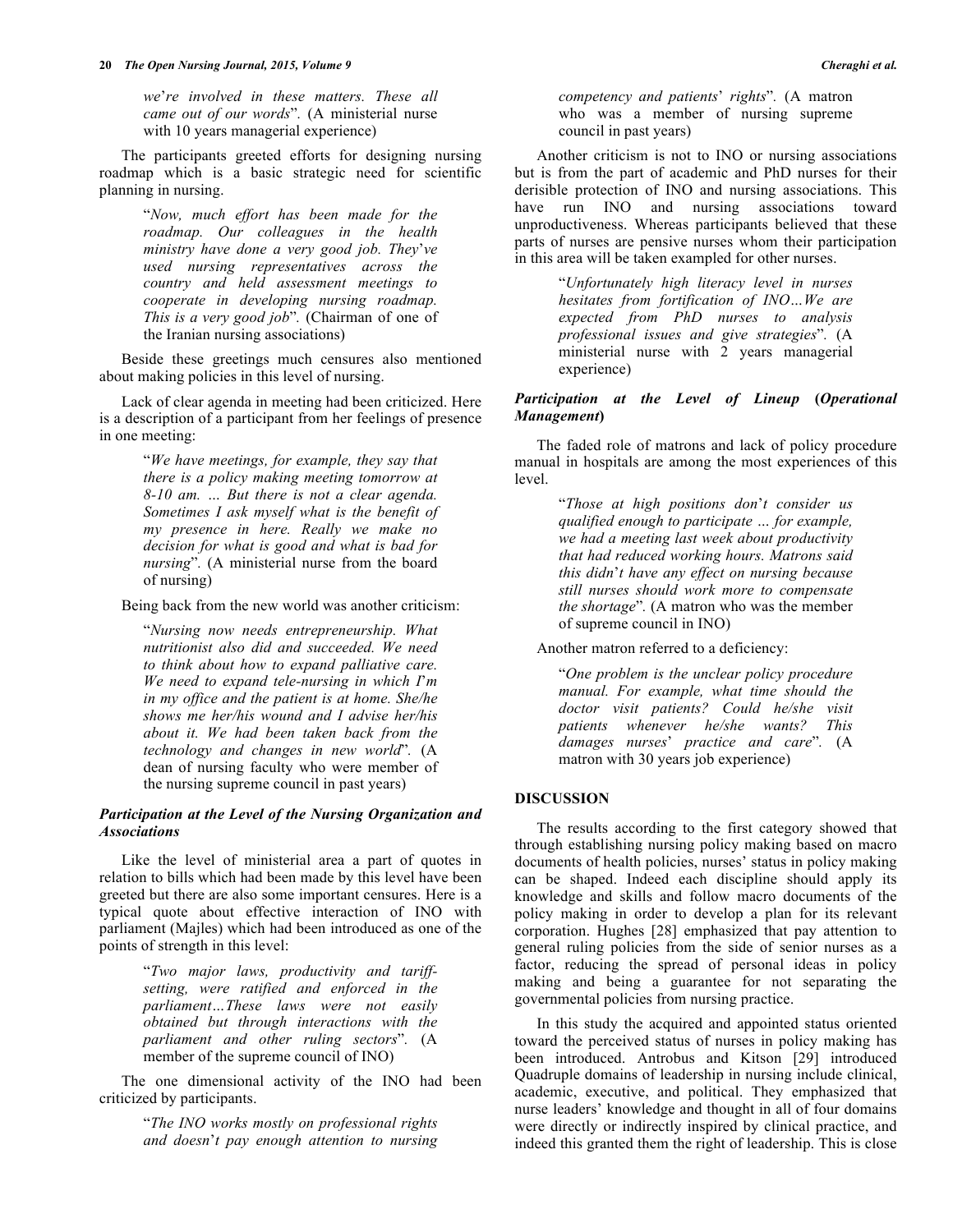*we*'*re involved in these matters. These all came out of our words*"*.* (A ministerial nurse with 10 years managerial experience)

The participants greeted efforts for designing nursing roadmap which is a basic strategic need for scientific planning in nursing.

> "*Now, much effort has been made for the roadmap. Our colleagues in the health ministry have done a very good job. They*'*ve used nursing representatives across the country and held assessment meetings to cooperate in developing nursing roadmap. This is a very good job*"*.* (Chairman of one of the Iranian nursing associations)

Beside these greetings much censures also mentioned about making policies in this level of nursing.

Lack of clear agenda in meeting had been criticized. Here is a description of a participant from her feelings of presence in one meeting:

> "*We have meetings, for example, they say that there is a policy making meeting tomorrow at 8-10 am. … But there is not a clear agenda. Sometimes I ask myself what is the benefit of my presence in here. Really we make no decision for what is good and what is bad for nursing*"*.* (A ministerial nurse from the board of nursing)

Being back from the new world was another criticism:

"*Nursing now needs entrepreneurship. What nutritionist also did and succeeded. We need to think about how to expand palliative care. We need to expand tele-nursing in which I*'*m in my office and the patient is at home. She/he shows me her/his wound and I advise her/his about it. We had been taken back from the technology and changes in new world*"*.* (A dean of nursing faculty who were member of the nursing supreme council in past years)

# *Participation at the Level of the Nursing Organization and Associations*

Like the level of ministerial area a part of quotes in relation to bills which had been made by this level have been greeted but there are also some important censures. Here is a typical quote about effective interaction of INO with parliament (Majles) which had been introduced as one of the points of strength in this level:

> "*Two major laws, productivity and tariffsetting, were ratified and enforced in the parliament…These laws were not easily obtained but through interactions with the parliament and other ruling sectors*"*.* (A member of the supreme council of INO)

The one dimensional activity of the INO had been criticized by participants.

> "*The INO works mostly on professional rights and doesn*'*t pay enough attention to nursing*

*competency and patients*' *rights*"*.* (A matron who was a member of nursing supreme council in past years)

Another criticism is not to INO or nursing associations but is from the part of academic and PhD nurses for their derisible protection of INO and nursing associations. This have run INO and nursing associations toward unproductiveness. Whereas participants believed that these parts of nurses are pensive nurses whom their participation in this area will be taken exampled for other nurses.

> "*Unfortunately high literacy level in nurses hesitates from fortification of INO…We are expected from PhD nurses to analysis professional issues and give strategies*"*.* (A ministerial nurse with 2 years managerial experience)

## *Participation at the Level of Lineup* **(***Operational Management***)**

The faded role of matrons and lack of policy procedure manual in hospitals are among the most experiences of this level.

> "*Those at high positions don*'*t consider us qualified enough to participate … for example, we had a meeting last week about productivity that had reduced working hours. Matrons said this didn*'*t have any effect on nursing because still nurses should work more to compensate the shortage*"*.* (A matron who was the member of supreme council in INO)

Another matron referred to a deficiency:

"*One problem is the unclear policy procedure manual. For example, what time should the doctor visit patients? Could he/she visit patients whenever he/she wants? This damages nurses*' *practice and care*"*.* (A matron with 30 years job experience)

## **DISCUSSION**

The results according to the first category showed that through establishing nursing policy making based on macro documents of health policies, nurses' status in policy making can be shaped. Indeed each discipline should apply its knowledge and skills and follow macro documents of the policy making in order to develop a plan for its relevant corporation. Hughes [28] emphasized that pay attention to general ruling policies from the side of senior nurses as a factor, reducing the spread of personal ideas in policy making and being a guarantee for not separating the governmental policies from nursing practice.

In this study the acquired and appointed status oriented toward the perceived status of nurses in policy making has been introduced. Antrobus and Kitson [29] introduced Quadruple domains of leadership in nursing include clinical, academic, executive, and political. They emphasized that nurse leaders' knowledge and thought in all of four domains were directly or indirectly inspired by clinical practice, and indeed this granted them the right of leadership. This is close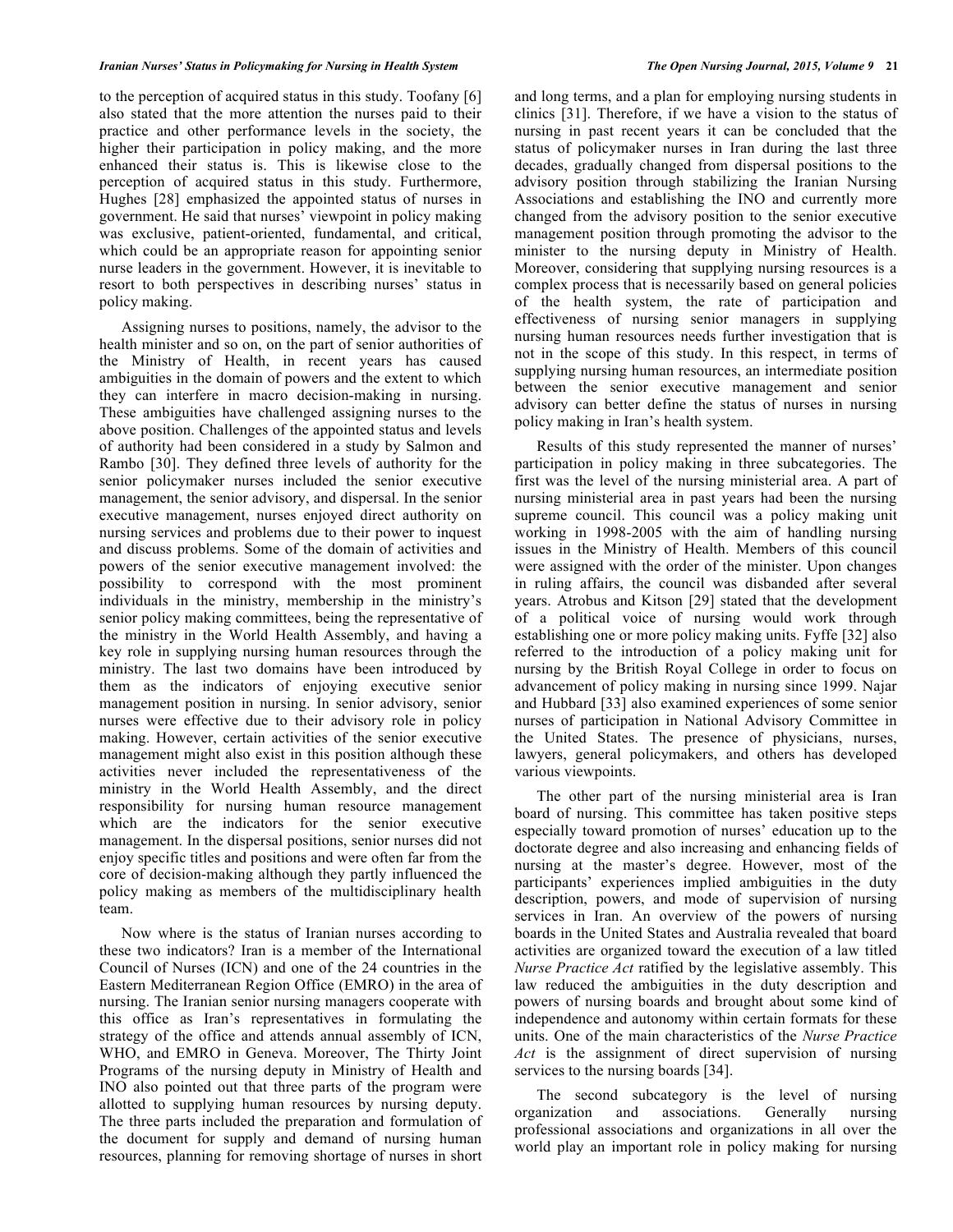to the perception of acquired status in this study. Toofany [6] also stated that the more attention the nurses paid to their practice and other performance levels in the society, the higher their participation in policy making, and the more enhanced their status is. This is likewise close to the perception of acquired status in this study. Furthermore, Hughes [28] emphasized the appointed status of nurses in government. He said that nurses' viewpoint in policy making was exclusive, patient-oriented, fundamental, and critical, which could be an appropriate reason for appointing senior nurse leaders in the government. However, it is inevitable to resort to both perspectives in describing nurses' status in policy making.

Assigning nurses to positions, namely, the advisor to the health minister and so on, on the part of senior authorities of the Ministry of Health, in recent years has caused ambiguities in the domain of powers and the extent to which they can interfere in macro decision-making in nursing. These ambiguities have challenged assigning nurses to the above position. Challenges of the appointed status and levels of authority had been considered in a study by Salmon and Rambo [30]. They defined three levels of authority for the senior policymaker nurses included the senior executive management, the senior advisory, and dispersal. In the senior executive management, nurses enjoyed direct authority on nursing services and problems due to their power to inquest and discuss problems. Some of the domain of activities and powers of the senior executive management involved: the possibility to correspond with the most prominent individuals in the ministry, membership in the ministry's senior policy making committees, being the representative of the ministry in the World Health Assembly, and having a key role in supplying nursing human resources through the ministry. The last two domains have been introduced by them as the indicators of enjoying executive senior management position in nursing. In senior advisory, senior nurses were effective due to their advisory role in policy making. However, certain activities of the senior executive management might also exist in this position although these activities never included the representativeness of the ministry in the World Health Assembly, and the direct responsibility for nursing human resource management which are the indicators for the senior executive management. In the dispersal positions, senior nurses did not enjoy specific titles and positions and were often far from the core of decision-making although they partly influenced the policy making as members of the multidisciplinary health team.

Now where is the status of Iranian nurses according to these two indicators? Iran is a member of the International Council of Nurses (ICN) and one of the 24 countries in the Eastern Mediterranean Region Office (EMRO) in the area of nursing. The Iranian senior nursing managers cooperate with this office as Iran's representatives in formulating the strategy of the office and attends annual assembly of ICN, WHO, and EMRO in Geneva. Moreover, The Thirty Joint Programs of the nursing deputy in Ministry of Health and INO also pointed out that three parts of the program were allotted to supplying human resources by nursing deputy. The three parts included the preparation and formulation of the document for supply and demand of nursing human resources, planning for removing shortage of nurses in short

and long terms, and a plan for employing nursing students in clinics [31]. Therefore, if we have a vision to the status of nursing in past recent years it can be concluded that the status of policymaker nurses in Iran during the last three decades, gradually changed from dispersal positions to the advisory position through stabilizing the Iranian Nursing Associations and establishing the INO and currently more changed from the advisory position to the senior executive management position through promoting the advisor to the minister to the nursing deputy in Ministry of Health. Moreover, considering that supplying nursing resources is a complex process that is necessarily based on general policies of the health system, the rate of participation and effectiveness of nursing senior managers in supplying nursing human resources needs further investigation that is not in the scope of this study. In this respect, in terms of supplying nursing human resources, an intermediate position between the senior executive management and senior advisory can better define the status of nurses in nursing policy making in Iran's health system.

Results of this study represented the manner of nurses' participation in policy making in three subcategories. The first was the level of the nursing ministerial area. A part of nursing ministerial area in past years had been the nursing supreme council. This council was a policy making unit working in 1998-2005 with the aim of handling nursing issues in the Ministry of Health. Members of this council were assigned with the order of the minister. Upon changes in ruling affairs, the council was disbanded after several years. Atrobus and Kitson [29] stated that the development of a political voice of nursing would work through establishing one or more policy making units. Fyffe [32] also referred to the introduction of a policy making unit for nursing by the British Royal College in order to focus on advancement of policy making in nursing since 1999. Najar and Hubbard [33] also examined experiences of some senior nurses of participation in National Advisory Committee in the United States. The presence of physicians, nurses, lawyers, general policymakers, and others has developed various viewpoints.

The other part of the nursing ministerial area is Iran board of nursing. This committee has taken positive steps especially toward promotion of nurses' education up to the doctorate degree and also increasing and enhancing fields of nursing at the master's degree. However, most of the participants' experiences implied ambiguities in the duty description, powers, and mode of supervision of nursing services in Iran. An overview of the powers of nursing boards in the United States and Australia revealed that board activities are organized toward the execution of a law titled *Nurse Practice Act* ratified by the legislative assembly. This law reduced the ambiguities in the duty description and powers of nursing boards and brought about some kind of independence and autonomy within certain formats for these units. One of the main characteristics of the *Nurse Practice Act* is the assignment of direct supervision of nursing services to the nursing boards [34].

The second subcategory is the level of nursing organization and associations. Generally nursing professional associations and organizations in all over the world play an important role in policy making for nursing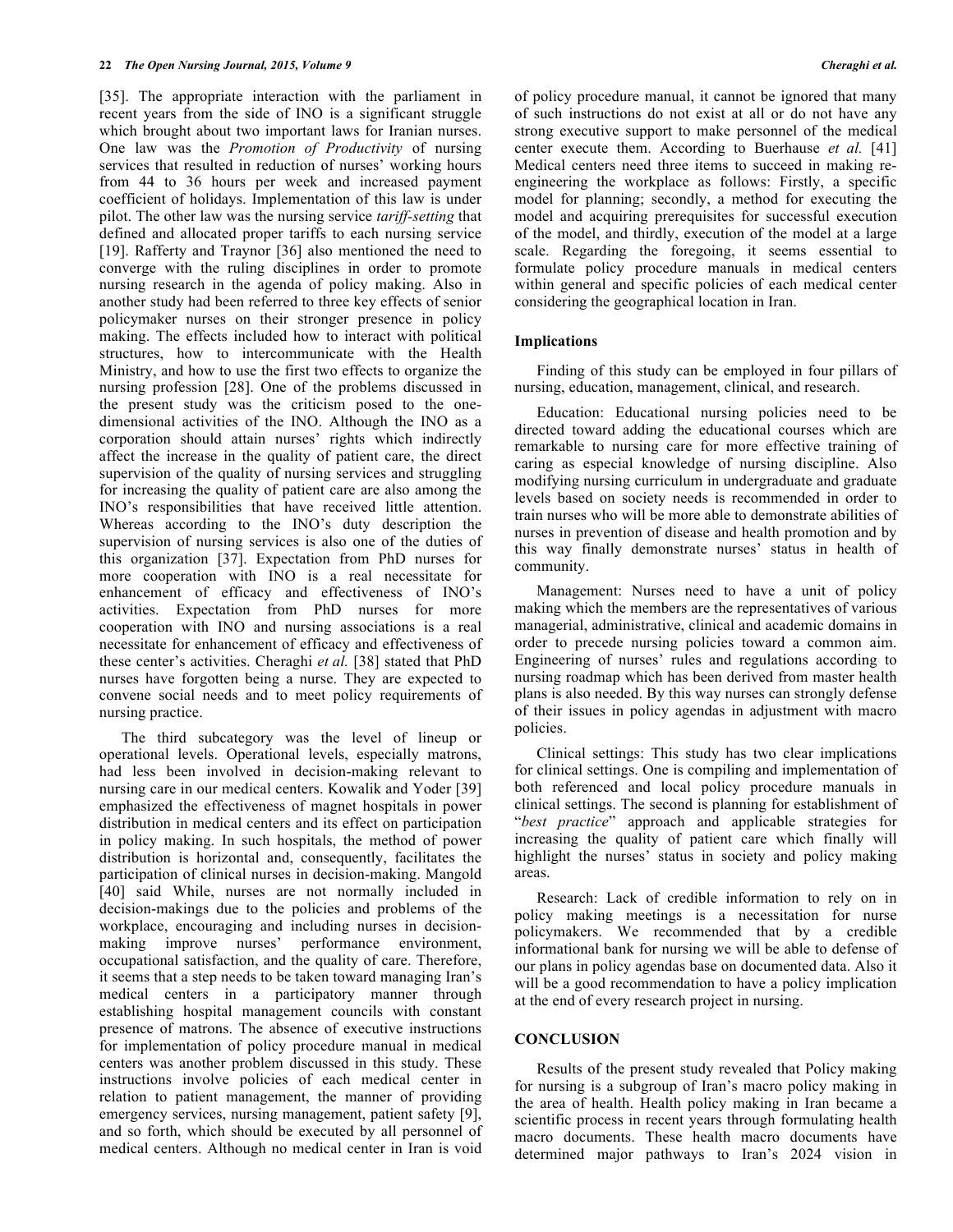[35]. The appropriate interaction with the parliament in recent years from the side of INO is a significant struggle which brought about two important laws for Iranian nurses. One law was the *Promotion of Productivity* of nursing services that resulted in reduction of nurses' working hours from 44 to 36 hours per week and increased payment coefficient of holidays. Implementation of this law is under pilot. The other law was the nursing service *tariff-setting* that defined and allocated proper tariffs to each nursing service [19]. Rafferty and Traynor [36] also mentioned the need to converge with the ruling disciplines in order to promote nursing research in the agenda of policy making. Also in another study had been referred to three key effects of senior policymaker nurses on their stronger presence in policy making. The effects included how to interact with political structures, how to intercommunicate with the Health Ministry, and how to use the first two effects to organize the nursing profession [28]. One of the problems discussed in the present study was the criticism posed to the onedimensional activities of the INO. Although the INO as a corporation should attain nurses' rights which indirectly affect the increase in the quality of patient care, the direct supervision of the quality of nursing services and struggling for increasing the quality of patient care are also among the INO's responsibilities that have received little attention. Whereas according to the INO's duty description the supervision of nursing services is also one of the duties of this organization [37]. Expectation from PhD nurses for more cooperation with INO is a real necessitate for enhancement of efficacy and effectiveness of INO's activities. Expectation from PhD nurses for more cooperation with INO and nursing associations is a real necessitate for enhancement of efficacy and effectiveness of these center's activities. Cheraghi *et al.* [38] stated that PhD nurses have forgotten being a nurse. They are expected to convene social needs and to meet policy requirements of nursing practice.

The third subcategory was the level of lineup or operational levels. Operational levels, especially matrons, had less been involved in decision-making relevant to nursing care in our medical centers. Kowalik and Yoder [39] emphasized the effectiveness of magnet hospitals in power distribution in medical centers and its effect on participation in policy making. In such hospitals, the method of power distribution is horizontal and, consequently, facilitates the participation of clinical nurses in decision-making. Mangold [40] said While, nurses are not normally included in decision-makings due to the policies and problems of the workplace, encouraging and including nurses in decisionmaking improve nurses' performance environment, occupational satisfaction, and the quality of care. Therefore, it seems that a step needs to be taken toward managing Iran's medical centers in a participatory manner through establishing hospital management councils with constant presence of matrons. The absence of executive instructions for implementation of policy procedure manual in medical centers was another problem discussed in this study. These instructions involve policies of each medical center in relation to patient management, the manner of providing emergency services, nursing management, patient safety [9], and so forth, which should be executed by all personnel of medical centers. Although no medical center in Iran is void

of policy procedure manual, it cannot be ignored that many of such instructions do not exist at all or do not have any strong executive support to make personnel of the medical center execute them. According to Buerhause *et al.* [41] Medical centers need three items to succeed in making reengineering the workplace as follows: Firstly, a specific model for planning; secondly, a method for executing the model and acquiring prerequisites for successful execution of the model, and thirdly, execution of the model at a large scale. Regarding the foregoing, it seems essential to formulate policy procedure manuals in medical centers within general and specific policies of each medical center considering the geographical location in Iran.

# **Implications**

Finding of this study can be employed in four pillars of nursing, education, management, clinical, and research.

Education: Educational nursing policies need to be directed toward adding the educational courses which are remarkable to nursing care for more effective training of caring as especial knowledge of nursing discipline. Also modifying nursing curriculum in undergraduate and graduate levels based on society needs is recommended in order to train nurses who will be more able to demonstrate abilities of nurses in prevention of disease and health promotion and by this way finally demonstrate nurses' status in health of community.

Management: Nurses need to have a unit of policy making which the members are the representatives of various managerial, administrative, clinical and academic domains in order to precede nursing policies toward a common aim. Engineering of nurses' rules and regulations according to nursing roadmap which has been derived from master health plans is also needed. By this way nurses can strongly defense of their issues in policy agendas in adjustment with macro policies.

Clinical settings: This study has two clear implications for clinical settings. One is compiling and implementation of both referenced and local policy procedure manuals in clinical settings. The second is planning for establishment of "*best practice*" approach and applicable strategies for increasing the quality of patient care which finally will highlight the nurses' status in society and policy making areas.

Research: Lack of credible information to rely on in policy making meetings is a necessitation for nurse policymakers. We recommended that by a credible informational bank for nursing we will be able to defense of our plans in policy agendas base on documented data. Also it will be a good recommendation to have a policy implication at the end of every research project in nursing.

## **CONCLUSION**

Results of the present study revealed that Policy making for nursing is a subgroup of Iran's macro policy making in the area of health. Health policy making in Iran became a scientific process in recent years through formulating health macro documents. These health macro documents have determined major pathways to Iran's 2024 vision in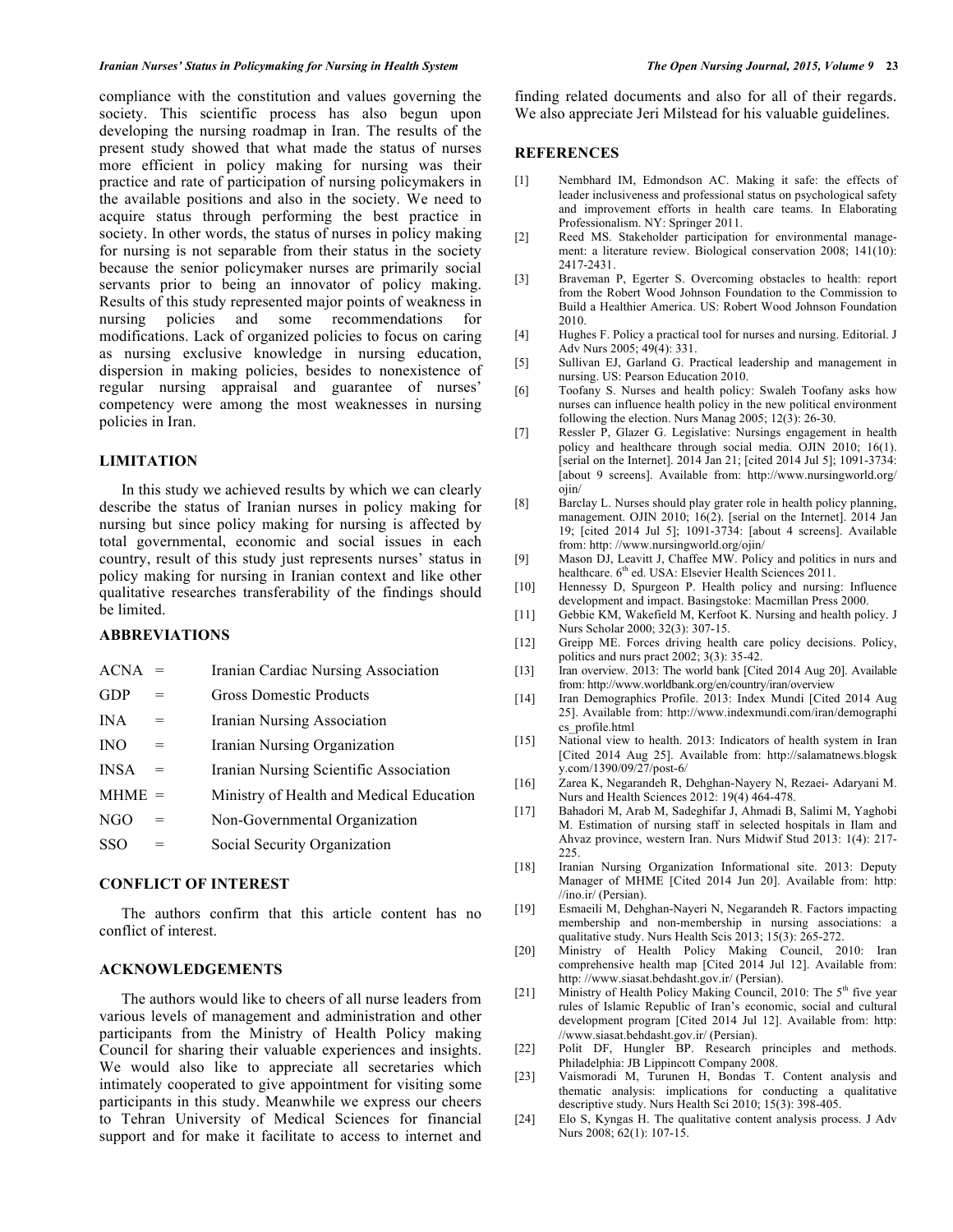#### *Iranian Nurses' Status in Policymaking for Nursing in Health System The Open Nursing Journal, 2015, Volume 9* **23**

compliance with the constitution and values governing the society. This scientific process has also begun upon developing the nursing roadmap in Iran. The results of the present study showed that what made the status of nurses more efficient in policy making for nursing was their practice and rate of participation of nursing policymakers in the available positions and also in the society. We need to acquire status through performing the best practice in society. In other words, the status of nurses in policy making for nursing is not separable from their status in the society because the senior policymaker nurses are primarily social servants prior to being an innovator of policy making. Results of this study represented major points of weakness in nursing policies and some recommendations for modifications. Lack of organized policies to focus on caring as nursing exclusive knowledge in nursing education, dispersion in making policies, besides to nonexistence of regular nursing appraisal and guarantee of nurses' competency were among the most weaknesses in nursing policies in Iran.

## **LIMITATION**

In this study we achieved results by which we can clearly describe the status of Iranian nurses in policy making for nursing but since policy making for nursing is affected by total governmental, economic and social issues in each country, result of this study just represents nurses' status in policy making for nursing in Iranian context and like other qualitative researches transferability of the findings should be limited.

#### **ABBREVIATIONS**

| ACNA       | $=$ | Iranian Cardiac Nursing Association      |
|------------|-----|------------------------------------------|
| GDP        |     | <b>Gross Domestic Products</b>           |
| IN A       | $=$ | Iranian Nursing Association              |
| <b>INO</b> | =   | Iranian Nursing Organization             |
| INSA       |     | Iranian Nursing Scientific Association   |
| $MHME =$   |     | Ministry of Health and Medical Education |
| NGO        | $=$ | Non-Governmental Organization            |
| SSO        |     | Social Security Organization             |
|            |     |                                          |

## **CONFLICT OF INTEREST**

The authors confirm that this article content has no conflict of interest.

#### **ACKNOWLEDGEMENTS**

The authors would like to cheers of all nurse leaders from various levels of management and administration and other participants from the Ministry of Health Policy making Council for sharing their valuable experiences and insights. We would also like to appreciate all secretaries which intimately cooperated to give appointment for visiting some participants in this study. Meanwhile we express our cheers to Tehran University of Medical Sciences for financial support and for make it facilitate to access to internet and

finding related documents and also for all of their regards. We also appreciate Jeri Milstead for his valuable guidelines.

## **REFERENCES**

- [1] Nembhard IM, Edmondson AC. Making it safe: the effects of leader inclusiveness and professional status on psychological safety and improvement efforts in health care teams. In Elaborating Professionalism. NY: Springer 2011.
- [2] Reed MS. Stakeholder participation for environmental management: a literature review. Biological conservation 2008; 141(10): 2417-2431.
- [3] Braveman P, Egerter S. Overcoming obstacles to health: report from the Robert Wood Johnson Foundation to the Commission to Build a Healthier America. US: Robert Wood Johnson Foundation 2010.
- [4] Hughes F. Policy a practical tool for nurses and nursing. Editorial. J Adv Nurs 2005; 49(4): 331.
- [5] Sullivan EJ, Garland G. Practical leadership and management in nursing. US: Pearson Education 2010.
- [6] Toofany S. Nurses and health policy: Swaleh Toofany asks how nurses can influence health policy in the new political environment following the election. Nurs Manag 2005;  $12(3)$ : 26-30.
- [7] Ressler P, Glazer G. Legislative: Nursings engagement in health policy and healthcare through social media. OJIN 2010; 16(1). [serial on the Internet]. 2014 Jan 21; [cited 2014 Jul 5]; 1091-3734: [about 9 screens]. Available from: http://www.nursingworld.org/ ojin/
- [8] Barclay L. Nurses should play grater role in health policy planning, management. OJIN 2010; 16(2). [serial on the Internet]. 2014 Jan 19; [cited 2014 Jul 5]; 1091-3734: [about 4 screens]. Available from: http: //www.nursingworld.org/ojin/
- [9] Mason DJ, Leavitt J, Chaffee MW. Policy and politics in nurs and healthcare. 6<sup>th</sup> ed. USA: Elsevier Health Sciences 2011.
- [10] Hennessy D, Spurgeon P. Health policy and nursing: Influence development and impact. Basingstoke: Macmillan Press 2000.
- [11] Gebbie KM, Wakefield M, Kerfoot K. Nursing and health policy. J Nurs Scholar 2000; 32(3): 307-15.
- [12] Greipp ME. Forces driving health care policy decisions. Policy, politics and nurs pract 2002; 3(3): 35-42.
- [13] Iran overview. 2013: The world bank [Cited 2014 Aug 20]. Available from: http://www.worldbank.org/en/country/iran/overview
- [14] Iran Demographics Profile. 2013: Index Mundi [Cited 2014 Aug 25]. Available from: http://www.indexmundi.com/iran/demographi cs\_profile.html
- [15] National view to health. 2013: Indicators of health system in Iran [Cited 2014 Aug 25]. Available from: http://salamatnews.blogsk y.com/1390/09/27/post-6/
- [16] Zarea K, Negarandeh R, Dehghan-Nayery N, Rezaei- Adaryani M. Nurs and Health Sciences 2012: 19(4) 464-478.
- [17] Bahadori M, Arab M, Sadeghifar J, Ahmadi B, Salimi M, Yaghobi M. Estimation of nursing staff in selected hospitals in Ilam and Ahvaz province, western Iran. Nurs Midwif Stud 2013: 1(4): 217- 225.
- [18] Iranian Nursing Organization Informational site. 2013: Deputy Manager of MHME [Cited 2014 Jun 20]. Available from: http: //ino.ir/ (Persian).
- [19] Esmaeili M, Dehghan-Nayeri N, Negarandeh R. Factors impacting membership and non-membership in nursing associations: a qualitative study. Nurs Health Scis 2013; 15(3): 265-272.
- [20] Ministry of Health Policy Making Council, 2010: Iran comprehensive health map [Cited 2014 Jul 12]. Available from: http: //www.siasat.behdasht.gov.ir/ (Persian).
- [21] Ministry of Health Policy Making Council, 2010: The 5<sup>th</sup> five year rules of Islamic Republic of Iran's economic, social and cultural development program [Cited 2014 Jul 12]. Available from: http: //www.siasat.behdasht.gov.ir/ (Persian).
- [22] Polit DF, Hungler BP. Research principles and methods. Philadelphia: JB Lippincott Company 2008.
- [23] Vaismoradi M, Turunen H, Bondas T. Content analysis and thematic analysis: implications for conducting a qualitative descriptive study. Nurs Health Sci 2010; 15(3): 398-405.
- [24] Elo S, Kyngas H. The qualitative content analysis process. J Adv Nurs 2008; 62(1): 107-15.